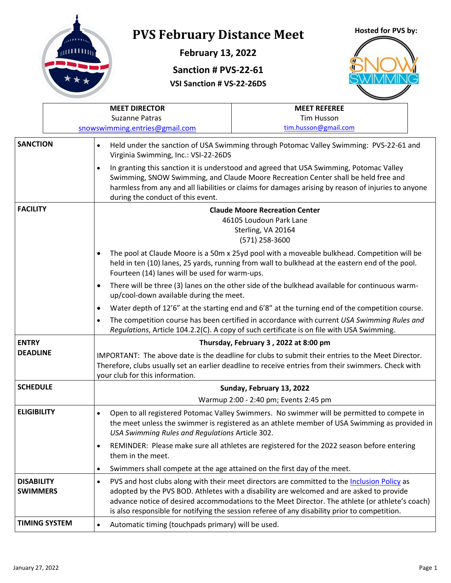

## **PVS February Distance Meet**

**February 13, 2022**

## **Hosted for PVS by:**

**Sanction # PVS-22-61**

**VSI Sanction # VS-22-26DS**



|                                      |                                                                                                                                                                                                                                                                                                                                                                                                                                                                     | <b>MEET DIRECTOR</b>                                                                                                                                                                                                                                                                                                                                                                                     | <b>MEET REFEREE</b>                                                                                                                                                                                     |  |  |  |
|--------------------------------------|---------------------------------------------------------------------------------------------------------------------------------------------------------------------------------------------------------------------------------------------------------------------------------------------------------------------------------------------------------------------------------------------------------------------------------------------------------------------|----------------------------------------------------------------------------------------------------------------------------------------------------------------------------------------------------------------------------------------------------------------------------------------------------------------------------------------------------------------------------------------------------------|---------------------------------------------------------------------------------------------------------------------------------------------------------------------------------------------------------|--|--|--|
|                                      |                                                                                                                                                                                                                                                                                                                                                                                                                                                                     | <b>Suzanne Patras</b>                                                                                                                                                                                                                                                                                                                                                                                    | <b>Tim Husson</b>                                                                                                                                                                                       |  |  |  |
|                                      |                                                                                                                                                                                                                                                                                                                                                                                                                                                                     | snowswimming.entries@gmail.com                                                                                                                                                                                                                                                                                                                                                                           | tim.husson@gmail.com                                                                                                                                                                                    |  |  |  |
|                                      | <b>SANCTION</b><br>Held under the sanction of USA Swimming through Potomac Valley Swimming: PVS-22-61 and<br>$\bullet$<br>Virginia Swimming, Inc.: VSI-22-26DS<br>In granting this sanction it is understood and agreed that USA Swimming, Potomac Valley<br>$\bullet$<br>Swimming, SNOW Swimming, and Claude Moore Recreation Center shall be held free and<br>harmless from any and all liabilities or claims for damages arising by reason of injuries to anyone |                                                                                                                                                                                                                                                                                                                                                                                                          |                                                                                                                                                                                                         |  |  |  |
|                                      |                                                                                                                                                                                                                                                                                                                                                                                                                                                                     | during the conduct of this event.                                                                                                                                                                                                                                                                                                                                                                        |                                                                                                                                                                                                         |  |  |  |
| <b>FACILITY</b>                      |                                                                                                                                                                                                                                                                                                                                                                                                                                                                     |                                                                                                                                                                                                                                                                                                                                                                                                          | <b>Claude Moore Recreation Center</b><br>46105 Loudoun Park Lane<br>Sterling, VA 20164<br>(571) 258-3600<br>The pool at Claude Moore is a 50m x 25yd pool with a moveable bulkhead. Competition will be |  |  |  |
|                                      |                                                                                                                                                                                                                                                                                                                                                                                                                                                                     | held in ten (10) lanes, 25 yards, running from wall to bulkhead at the eastern end of the pool.<br>Fourteen (14) lanes will be used for warm-ups.                                                                                                                                                                                                                                                        |                                                                                                                                                                                                         |  |  |  |
|                                      |                                                                                                                                                                                                                                                                                                                                                                                                                                                                     | There will be three (3) lanes on the other side of the bulkhead available for continuous warm-<br>up/cool-down available during the meet.                                                                                                                                                                                                                                                                |                                                                                                                                                                                                         |  |  |  |
|                                      |                                                                                                                                                                                                                                                                                                                                                                                                                                                                     | Water depth of 12'6" at the starting end and 6'8" at the turning end of the competition course.                                                                                                                                                                                                                                                                                                          |                                                                                                                                                                                                         |  |  |  |
|                                      |                                                                                                                                                                                                                                                                                                                                                                                                                                                                     |                                                                                                                                                                                                                                                                                                                                                                                                          | The competition course has been certified in accordance with current USA Swimming Rules and<br>Regulations, Article 104.2.2(C). A copy of such certificate is on file with USA Swimming.                |  |  |  |
| <b>ENTRY</b>                         |                                                                                                                                                                                                                                                                                                                                                                                                                                                                     |                                                                                                                                                                                                                                                                                                                                                                                                          | Thursday, February 3, 2022 at 8:00 pm                                                                                                                                                                   |  |  |  |
| <b>DEADLINE</b>                      |                                                                                                                                                                                                                                                                                                                                                                                                                                                                     | IMPORTANT: The above date is the deadline for clubs to submit their entries to the Meet Director.<br>Therefore, clubs usually set an earlier deadline to receive entries from their swimmers. Check with<br>your club for this information.                                                                                                                                                              |                                                                                                                                                                                                         |  |  |  |
| <b>SCHEDULE</b>                      |                                                                                                                                                                                                                                                                                                                                                                                                                                                                     |                                                                                                                                                                                                                                                                                                                                                                                                          | Sunday, February 13, 2022                                                                                                                                                                               |  |  |  |
|                                      |                                                                                                                                                                                                                                                                                                                                                                                                                                                                     |                                                                                                                                                                                                                                                                                                                                                                                                          | Warmup 2:00 - 2:40 pm; Events 2:45 pm                                                                                                                                                                   |  |  |  |
| <b>ELIGIBILITY</b>                   |                                                                                                                                                                                                                                                                                                                                                                                                                                                                     | $\bullet$<br>USA Swimming Rules and Regulations Article 302.                                                                                                                                                                                                                                                                                                                                             | Open to all registered Potomac Valley Swimmers. No swimmer will be permitted to compete in<br>the meet unless the swimmer is registered as an athlete member of USA Swimming as provided in             |  |  |  |
|                                      |                                                                                                                                                                                                                                                                                                                                                                                                                                                                     | $\bullet$<br>them in the meet.                                                                                                                                                                                                                                                                                                                                                                           | REMINDER: Please make sure all athletes are registered for the 2022 season before entering                                                                                                              |  |  |  |
|                                      |                                                                                                                                                                                                                                                                                                                                                                                                                                                                     | Swimmers shall compete at the age attained on the first day of the meet.                                                                                                                                                                                                                                                                                                                                 |                                                                                                                                                                                                         |  |  |  |
| <b>DISABILITY</b><br><b>SWIMMERS</b> |                                                                                                                                                                                                                                                                                                                                                                                                                                                                     | PVS and host clubs along with their meet directors are committed to the Inclusion Policy as<br>$\bullet$<br>adopted by the PVS BOD. Athletes with a disability are welcomed and are asked to provide<br>advance notice of desired accommodations to the Meet Director. The athlete (or athlete's coach)<br>is also responsible for notifying the session referee of any disability prior to competition. |                                                                                                                                                                                                         |  |  |  |
| <b>TIMING SYSTEM</b>                 |                                                                                                                                                                                                                                                                                                                                                                                                                                                                     | Automatic timing (touchpads primary) will be used.<br>$\bullet$                                                                                                                                                                                                                                                                                                                                          |                                                                                                                                                                                                         |  |  |  |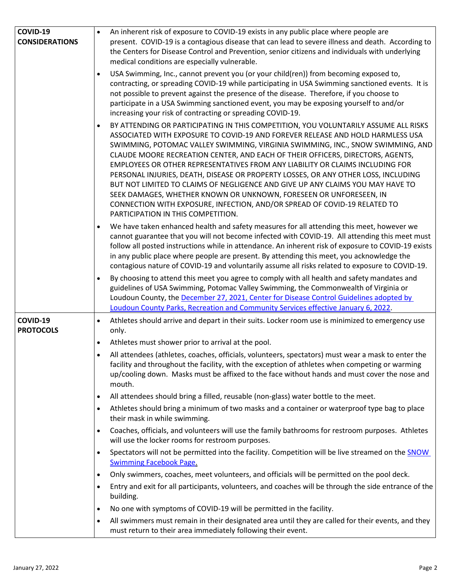| COVID-19                     | An inherent risk of exposure to COVID-19 exists in any public place where people are<br>$\bullet$                                                                                                                                                                                                                                                                                                                                                                                                                                                                                                                                                                                                                                                                                           |
|------------------------------|---------------------------------------------------------------------------------------------------------------------------------------------------------------------------------------------------------------------------------------------------------------------------------------------------------------------------------------------------------------------------------------------------------------------------------------------------------------------------------------------------------------------------------------------------------------------------------------------------------------------------------------------------------------------------------------------------------------------------------------------------------------------------------------------|
| <b>CONSIDERATIONS</b>        | present. COVID-19 is a contagious disease that can lead to severe illness and death. According to<br>the Centers for Disease Control and Prevention, senior citizens and individuals with underlying<br>medical conditions are especially vulnerable.                                                                                                                                                                                                                                                                                                                                                                                                                                                                                                                                       |
|                              | USA Swimming, Inc., cannot prevent you (or your child(ren)) from becoming exposed to,<br>contracting, or spreading COVID-19 while participating in USA Swimming sanctioned events. It is<br>not possible to prevent against the presence of the disease. Therefore, if you choose to<br>participate in a USA Swimming sanctioned event, you may be exposing yourself to and/or<br>increasing your risk of contracting or spreading COVID-19.                                                                                                                                                                                                                                                                                                                                                |
|                              | BY ATTENDING OR PARTICIPATING IN THIS COMPETITION, YOU VOLUNTARILY ASSUME ALL RISKS<br>ASSOCIATED WITH EXPOSURE TO COVID-19 AND FOREVER RELEASE AND HOLD HARMLESS USA<br>SWIMMING, POTOMAC VALLEY SWIMMING, VIRGINIA SWIMMING, INC., SNOW SWIMMING, AND<br>CLAUDE MOORE RECREATION CENTER, AND EACH OF THEIR OFFICERS, DIRECTORS, AGENTS,<br>EMPLOYEES OR OTHER REPRESENTATIVES FROM ANY LIABILITY OR CLAIMS INCLUDING FOR<br>PERSONAL INJURIES, DEATH, DISEASE OR PROPERTY LOSSES, OR ANY OTHER LOSS, INCLUDING<br>BUT NOT LIMITED TO CLAIMS OF NEGLIGENCE AND GIVE UP ANY CLAIMS YOU MAY HAVE TO<br>SEEK DAMAGES, WHETHER KNOWN OR UNKNOWN, FORESEEN OR UNFORESEEN, IN<br>CONNECTION WITH EXPOSURE, INFECTION, AND/OR SPREAD OF COVID-19 RELATED TO<br>PARTICIPATION IN THIS COMPETITION. |
|                              | We have taken enhanced health and safety measures for all attending this meet, however we<br>cannot guarantee that you will not become infected with COVID-19. All attending this meet must<br>follow all posted instructions while in attendance. An inherent risk of exposure to COVID-19 exists<br>in any public place where people are present. By attending this meet, you acknowledge the<br>contagious nature of COVID-19 and voluntarily assume all risks related to exposure to COVID-19.                                                                                                                                                                                                                                                                                          |
|                              | By choosing to attend this meet you agree to comply with all health and safety mandates and<br>guidelines of USA Swimming, Potomac Valley Swimming, the Commonwealth of Virginia or<br>Loudoun County, the December 27, 2021, Center for Disease Control Guidelines adopted by<br>Loudoun County Parks, Recreation and Community Services effective January 6, 2022.                                                                                                                                                                                                                                                                                                                                                                                                                        |
| COVID-19<br><b>PROTOCOLS</b> | Athletes should arrive and depart in their suits. Locker room use is minimized to emergency use<br>$\bullet$<br>only.                                                                                                                                                                                                                                                                                                                                                                                                                                                                                                                                                                                                                                                                       |
|                              | Athletes must shower prior to arrival at the pool.                                                                                                                                                                                                                                                                                                                                                                                                                                                                                                                                                                                                                                                                                                                                          |
|                              | All attendees (athletes, coaches, officials, volunteers, spectators) must wear a mask to enter the<br>٠<br>facility and throughout the facility, with the exception of athletes when competing or warming<br>up/cooling down. Masks must be affixed to the face without hands and must cover the nose and<br>mouth.                                                                                                                                                                                                                                                                                                                                                                                                                                                                         |
|                              | All attendees should bring a filled, reusable (non-glass) water bottle to the meet.                                                                                                                                                                                                                                                                                                                                                                                                                                                                                                                                                                                                                                                                                                         |
|                              | Athletes should bring a minimum of two masks and a container or waterproof type bag to place<br>their mask in while swimming.                                                                                                                                                                                                                                                                                                                                                                                                                                                                                                                                                                                                                                                               |
|                              | Coaches, officials, and volunteers will use the family bathrooms for restroom purposes. Athletes<br>will use the locker rooms for restroom purposes.                                                                                                                                                                                                                                                                                                                                                                                                                                                                                                                                                                                                                                        |
|                              | Spectators will not be permitted into the facility. Competition will be live streamed on the SNOW<br>$\bullet$<br><b>Swimming Facebook Page.</b>                                                                                                                                                                                                                                                                                                                                                                                                                                                                                                                                                                                                                                            |
|                              | Only swimmers, coaches, meet volunteers, and officials will be permitted on the pool deck.<br>$\bullet$                                                                                                                                                                                                                                                                                                                                                                                                                                                                                                                                                                                                                                                                                     |
|                              | Entry and exit for all participants, volunteers, and coaches will be through the side entrance of the<br>$\bullet$<br>building.                                                                                                                                                                                                                                                                                                                                                                                                                                                                                                                                                                                                                                                             |
|                              | No one with symptoms of COVID-19 will be permitted in the facility.<br>$\bullet$                                                                                                                                                                                                                                                                                                                                                                                                                                                                                                                                                                                                                                                                                                            |
|                              | All swimmers must remain in their designated area until they are called for their events, and they<br>$\bullet$<br>must return to their area immediately following their event.                                                                                                                                                                                                                                                                                                                                                                                                                                                                                                                                                                                                             |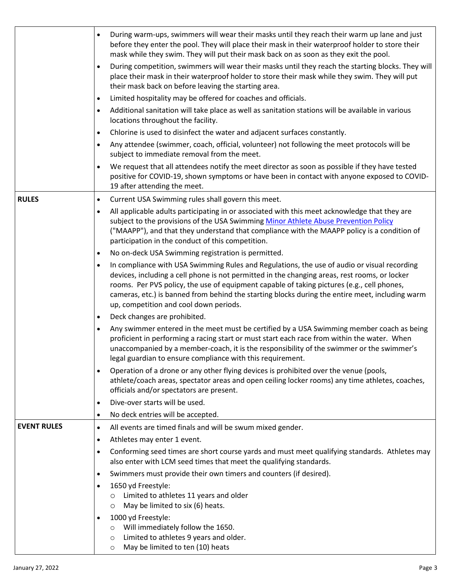|                    | During warm-ups, swimmers will wear their masks until they reach their warm up lane and just<br>$\bullet$<br>before they enter the pool. They will place their mask in their waterproof holder to store their<br>mask while they swim. They will put their mask back on as soon as they exit the pool.<br>During competition, swimmers will wear their masks until they reach the starting blocks. They will<br>$\bullet$<br>place their mask in their waterproof holder to store their mask while they swim. They will put<br>their mask back on before leaving the starting area.<br>Limited hospitality may be offered for coaches and officials.<br>$\bullet$<br>Additional sanitation will take place as well as sanitation stations will be available in various<br>$\bullet$<br>locations throughout the facility.<br>Chlorine is used to disinfect the water and adjacent surfaces constantly.<br>$\bullet$<br>Any attendee (swimmer, coach, official, volunteer) not following the meet protocols will be<br>$\bullet$<br>subject to immediate removal from the meet.<br>We request that all attendees notify the meet director as soon as possible if they have tested<br>$\bullet$<br>positive for COVID-19, shown symptoms or have been in contact with anyone exposed to COVID-<br>19 after attending the meet. |
|--------------------|------------------------------------------------------------------------------------------------------------------------------------------------------------------------------------------------------------------------------------------------------------------------------------------------------------------------------------------------------------------------------------------------------------------------------------------------------------------------------------------------------------------------------------------------------------------------------------------------------------------------------------------------------------------------------------------------------------------------------------------------------------------------------------------------------------------------------------------------------------------------------------------------------------------------------------------------------------------------------------------------------------------------------------------------------------------------------------------------------------------------------------------------------------------------------------------------------------------------------------------------------------------------------------------------------------------------------|
| <b>RULES</b>       | Current USA Swimming rules shall govern this meet.<br>$\bullet$                                                                                                                                                                                                                                                                                                                                                                                                                                                                                                                                                                                                                                                                                                                                                                                                                                                                                                                                                                                                                                                                                                                                                                                                                                                              |
|                    | All applicable adults participating in or associated with this meet acknowledge that they are<br>$\bullet$<br>subject to the provisions of the USA Swimming Minor Athlete Abuse Prevention Policy<br>("MAAPP"), and that they understand that compliance with the MAAPP policy is a condition of<br>participation in the conduct of this competition.                                                                                                                                                                                                                                                                                                                                                                                                                                                                                                                                                                                                                                                                                                                                                                                                                                                                                                                                                                        |
|                    | No on-deck USA Swimming registration is permitted.<br>$\bullet$                                                                                                                                                                                                                                                                                                                                                                                                                                                                                                                                                                                                                                                                                                                                                                                                                                                                                                                                                                                                                                                                                                                                                                                                                                                              |
|                    | In compliance with USA Swimming Rules and Regulations, the use of audio or visual recording<br>$\bullet$<br>devices, including a cell phone is not permitted in the changing areas, rest rooms, or locker<br>rooms. Per PVS policy, the use of equipment capable of taking pictures (e.g., cell phones,<br>cameras, etc.) is banned from behind the starting blocks during the entire meet, including warm<br>up, competition and cool down periods.                                                                                                                                                                                                                                                                                                                                                                                                                                                                                                                                                                                                                                                                                                                                                                                                                                                                         |
|                    | Deck changes are prohibited.<br>$\bullet$                                                                                                                                                                                                                                                                                                                                                                                                                                                                                                                                                                                                                                                                                                                                                                                                                                                                                                                                                                                                                                                                                                                                                                                                                                                                                    |
|                    | Any swimmer entered in the meet must be certified by a USA Swimming member coach as being<br>$\bullet$<br>proficient in performing a racing start or must start each race from within the water. When<br>unaccompanied by a member-coach, it is the responsibility of the swimmer or the swimmer's<br>legal guardian to ensure compliance with this requirement.                                                                                                                                                                                                                                                                                                                                                                                                                                                                                                                                                                                                                                                                                                                                                                                                                                                                                                                                                             |
|                    | Operation of a drone or any other flying devices is prohibited over the venue (pools,<br>$\bullet$<br>athlete/coach areas, spectator areas and open ceiling locker rooms) any time athletes, coaches,<br>officials and/or spectators are present.                                                                                                                                                                                                                                                                                                                                                                                                                                                                                                                                                                                                                                                                                                                                                                                                                                                                                                                                                                                                                                                                            |
|                    | Dive-over starts will be used.<br>$\bullet$                                                                                                                                                                                                                                                                                                                                                                                                                                                                                                                                                                                                                                                                                                                                                                                                                                                                                                                                                                                                                                                                                                                                                                                                                                                                                  |
|                    | No deck entries will be accepted.<br>$\bullet$                                                                                                                                                                                                                                                                                                                                                                                                                                                                                                                                                                                                                                                                                                                                                                                                                                                                                                                                                                                                                                                                                                                                                                                                                                                                               |
| <b>EVENT RULES</b> | All events are timed finals and will be swum mixed gender.<br>$\bullet$                                                                                                                                                                                                                                                                                                                                                                                                                                                                                                                                                                                                                                                                                                                                                                                                                                                                                                                                                                                                                                                                                                                                                                                                                                                      |
|                    | Athletes may enter 1 event.<br>$\bullet$                                                                                                                                                                                                                                                                                                                                                                                                                                                                                                                                                                                                                                                                                                                                                                                                                                                                                                                                                                                                                                                                                                                                                                                                                                                                                     |
|                    | Conforming seed times are short course yards and must meet qualifying standards. Athletes may<br>$\bullet$<br>also enter with LCM seed times that meet the qualifying standards.                                                                                                                                                                                                                                                                                                                                                                                                                                                                                                                                                                                                                                                                                                                                                                                                                                                                                                                                                                                                                                                                                                                                             |
|                    | Swimmers must provide their own timers and counters (if desired).<br>$\bullet$                                                                                                                                                                                                                                                                                                                                                                                                                                                                                                                                                                                                                                                                                                                                                                                                                                                                                                                                                                                                                                                                                                                                                                                                                                               |
|                    | 1650 yd Freestyle:<br>$\bullet$                                                                                                                                                                                                                                                                                                                                                                                                                                                                                                                                                                                                                                                                                                                                                                                                                                                                                                                                                                                                                                                                                                                                                                                                                                                                                              |
|                    | Limited to athletes 11 years and older<br>$\circ$<br>May be limited to six (6) heats.                                                                                                                                                                                                                                                                                                                                                                                                                                                                                                                                                                                                                                                                                                                                                                                                                                                                                                                                                                                                                                                                                                                                                                                                                                        |
|                    | $\circ$<br>1000 yd Freestyle:<br>$\bullet$                                                                                                                                                                                                                                                                                                                                                                                                                                                                                                                                                                                                                                                                                                                                                                                                                                                                                                                                                                                                                                                                                                                                                                                                                                                                                   |
|                    | Will immediately follow the 1650.<br>$\circ$<br>Limited to athletes 9 years and older.<br>$\circ$<br>May be limited to ten (10) heats<br>$\circ$                                                                                                                                                                                                                                                                                                                                                                                                                                                                                                                                                                                                                                                                                                                                                                                                                                                                                                                                                                                                                                                                                                                                                                             |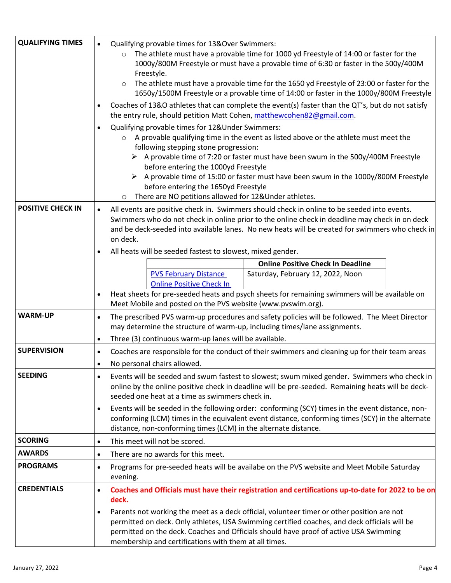| <b>QUALIFYING TIMES</b>  | Qualifying provable times for 13&Over Swimmers:<br>The athlete must have a provable time for 1000 yd Freestyle of 14:00 or faster for the<br>1000y/800M Freestyle or must have a provable time of 6:30 or faster in the 500y/400M<br>Freestyle.<br>The athlete must have a provable time for the 1650 yd Freestyle of 23:00 or faster for the<br>1650y/1500M Freestyle or a provable time of 14:00 or faster in the 1000y/800M Freestyle<br>Coaches of 13&O athletes that can complete the event(s) faster than the QT's, but do not satisfy<br>the entry rule, should petition Matt Cohen, matthewcohen82@gmail.com.<br>Qualifying provable times for 12&Under Swimmers:<br>$\bullet$<br>A provable qualifying time in the event as listed above or the athlete must meet the<br>$\circ$<br>following stepping stone progression:<br>$\triangleright$ A provable time of 7:20 or faster must have been swum in the 500y/400M Freestyle<br>before entering the 1000yd Freestyle<br>$\triangleright$ A provable time of 15:00 or faster must have been swum in the 1000y/800M Freestyle<br>before entering the 1650yd Freestyle<br>There are NO petitions allowed for 12&Under athletes.<br>$\circ$ |  |
|--------------------------|----------------------------------------------------------------------------------------------------------------------------------------------------------------------------------------------------------------------------------------------------------------------------------------------------------------------------------------------------------------------------------------------------------------------------------------------------------------------------------------------------------------------------------------------------------------------------------------------------------------------------------------------------------------------------------------------------------------------------------------------------------------------------------------------------------------------------------------------------------------------------------------------------------------------------------------------------------------------------------------------------------------------------------------------------------------------------------------------------------------------------------------------------------------------------------------------------|--|
| <b>POSITIVE CHECK IN</b> | All events are positive check in. Swimmers should check in online to be seeded into events.<br>$\bullet$<br>Swimmers who do not check in online prior to the online check in deadline may check in on deck<br>and be deck-seeded into available lanes. No new heats will be created for swimmers who check in<br>on deck.                                                                                                                                                                                                                                                                                                                                                                                                                                                                                                                                                                                                                                                                                                                                                                                                                                                                          |  |
|                          | All heats will be seeded fastest to slowest, mixed gender.                                                                                                                                                                                                                                                                                                                                                                                                                                                                                                                                                                                                                                                                                                                                                                                                                                                                                                                                                                                                                                                                                                                                         |  |
|                          | <b>Online Positive Check In Deadline</b><br><b>PVS February Distance</b><br>Saturday, February 12, 2022, Noon                                                                                                                                                                                                                                                                                                                                                                                                                                                                                                                                                                                                                                                                                                                                                                                                                                                                                                                                                                                                                                                                                      |  |
|                          | <b>Online Positive Check In</b>                                                                                                                                                                                                                                                                                                                                                                                                                                                                                                                                                                                                                                                                                                                                                                                                                                                                                                                                                                                                                                                                                                                                                                    |  |
|                          | Heat sheets for pre-seeded heats and psych sheets for remaining swimmers will be available on<br>$\bullet$<br>Meet Mobile and posted on the PVS website (www.pvswim.org).                                                                                                                                                                                                                                                                                                                                                                                                                                                                                                                                                                                                                                                                                                                                                                                                                                                                                                                                                                                                                          |  |
| <b>WARM-UP</b>           | The prescribed PVS warm-up procedures and safety policies will be followed. The Meet Director<br>may determine the structure of warm-up, including times/lane assignments.                                                                                                                                                                                                                                                                                                                                                                                                                                                                                                                                                                                                                                                                                                                                                                                                                                                                                                                                                                                                                         |  |
|                          | Three (3) continuous warm-up lanes will be available.<br>$\bullet$                                                                                                                                                                                                                                                                                                                                                                                                                                                                                                                                                                                                                                                                                                                                                                                                                                                                                                                                                                                                                                                                                                                                 |  |
| <b>SUPERVISION</b>       | Coaches are responsible for the conduct of their swimmers and cleaning up for their team areas<br>$\bullet$                                                                                                                                                                                                                                                                                                                                                                                                                                                                                                                                                                                                                                                                                                                                                                                                                                                                                                                                                                                                                                                                                        |  |
|                          | No personal chairs allowed.<br>٠                                                                                                                                                                                                                                                                                                                                                                                                                                                                                                                                                                                                                                                                                                                                                                                                                                                                                                                                                                                                                                                                                                                                                                   |  |
| <b>SEEDING</b>           | Events will be seeded and swum fastest to slowest; swum mixed gender. Swimmers who check in<br>online by the online positive check in deadline will be pre-seeded. Remaining heats will be deck-<br>seeded one heat at a time as swimmers check in.                                                                                                                                                                                                                                                                                                                                                                                                                                                                                                                                                                                                                                                                                                                                                                                                                                                                                                                                                |  |
|                          | Events will be seeded in the following order: conforming (SCY) times in the event distance, non-<br>$\bullet$<br>conforming (LCM) times in the equivalent event distance, conforming times (SCY) in the alternate<br>distance, non-conforming times (LCM) in the alternate distance.                                                                                                                                                                                                                                                                                                                                                                                                                                                                                                                                                                                                                                                                                                                                                                                                                                                                                                               |  |
| <b>SCORING</b>           | This meet will not be scored.<br>$\bullet$                                                                                                                                                                                                                                                                                                                                                                                                                                                                                                                                                                                                                                                                                                                                                                                                                                                                                                                                                                                                                                                                                                                                                         |  |
| <b>AWARDS</b>            | There are no awards for this meet.<br>٠                                                                                                                                                                                                                                                                                                                                                                                                                                                                                                                                                                                                                                                                                                                                                                                                                                                                                                                                                                                                                                                                                                                                                            |  |
| <b>PROGRAMS</b>          | Programs for pre-seeded heats will be availabe on the PVS website and Meet Mobile Saturday<br>$\bullet$<br>evening.                                                                                                                                                                                                                                                                                                                                                                                                                                                                                                                                                                                                                                                                                                                                                                                                                                                                                                                                                                                                                                                                                |  |
| <b>CREDENTIALS</b>       | Coaches and Officials must have their registration and certifications up-to-date for 2022 to be on<br>$\bullet$<br>deck.                                                                                                                                                                                                                                                                                                                                                                                                                                                                                                                                                                                                                                                                                                                                                                                                                                                                                                                                                                                                                                                                           |  |
|                          | Parents not working the meet as a deck official, volunteer timer or other position are not<br>$\bullet$<br>permitted on deck. Only athletes, USA Swimming certified coaches, and deck officials will be<br>permitted on the deck. Coaches and Officials should have proof of active USA Swimming<br>membership and certifications with them at all times.                                                                                                                                                                                                                                                                                                                                                                                                                                                                                                                                                                                                                                                                                                                                                                                                                                          |  |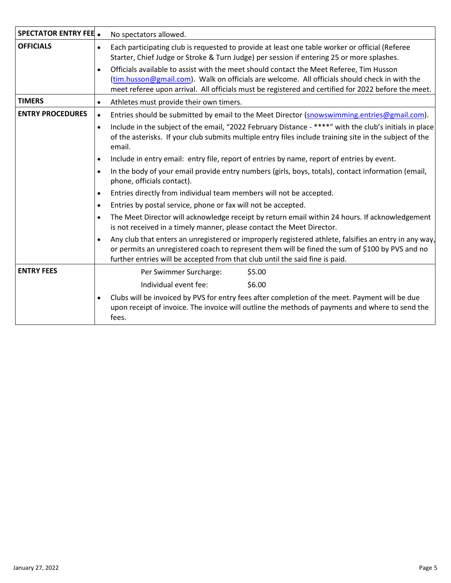| <b>SPECTATOR ENTRY FEE .</b> | No spectators allowed.                                                                                                                                                                                                                                                                                       |  |  |
|------------------------------|--------------------------------------------------------------------------------------------------------------------------------------------------------------------------------------------------------------------------------------------------------------------------------------------------------------|--|--|
| <b>OFFICIALS</b>             | Each participating club is requested to provide at least one table worker or official (Referee<br>Starter, Chief Judge or Stroke & Turn Judge) per session if entering 25 or more splashes.                                                                                                                  |  |  |
|                              | Officials available to assist with the meet should contact the Meet Referee, Tim Husson<br>$\bullet$<br>(tim.husson@gmail.com). Walk on officials are welcome. All officials should check in with the<br>meet referee upon arrival. All officials must be registered and certified for 2022 before the meet. |  |  |
| <b>TIMERS</b>                | Athletes must provide their own timers.                                                                                                                                                                                                                                                                      |  |  |
| <b>ENTRY PROCEDURES</b>      | Entries should be submitted by email to the Meet Director (snowswimming.entries@gmail.com).                                                                                                                                                                                                                  |  |  |
|                              | Include in the subject of the email, "2022 February Distance - ****" with the club's initials in place<br>of the asterisks. If your club submits multiple entry files include training site in the subject of the<br>email.                                                                                  |  |  |
|                              | Include in entry email: entry file, report of entries by name, report of entries by event.                                                                                                                                                                                                                   |  |  |
|                              | In the body of your email provide entry numbers (girls, boys, totals), contact information (email,<br>phone, officials contact).                                                                                                                                                                             |  |  |
|                              | Entries directly from individual team members will not be accepted.                                                                                                                                                                                                                                          |  |  |
|                              | Entries by postal service, phone or fax will not be accepted.                                                                                                                                                                                                                                                |  |  |
|                              | The Meet Director will acknowledge receipt by return email within 24 hours. If acknowledgement<br>is not received in a timely manner, please contact the Meet Director.                                                                                                                                      |  |  |
|                              | Any club that enters an unregistered or improperly registered athlete, falsifies an entry in any way,<br>$\bullet$<br>or permits an unregistered coach to represent them will be fined the sum of \$100 by PVS and no<br>further entries will be accepted from that club until the said fine is paid.        |  |  |
| <b>ENTRY FEES</b>            | \$5.00<br>Per Swimmer Surcharge:                                                                                                                                                                                                                                                                             |  |  |
|                              | \$6.00<br>Individual event fee:                                                                                                                                                                                                                                                                              |  |  |
|                              | Clubs will be invoiced by PVS for entry fees after completion of the meet. Payment will be due<br>upon receipt of invoice. The invoice will outline the methods of payments and where to send the<br>fees.                                                                                                   |  |  |